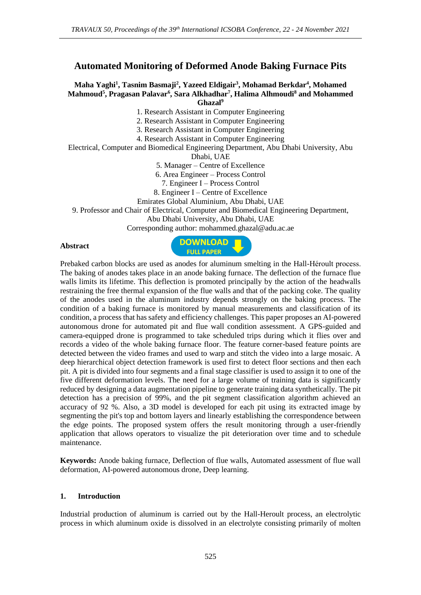# **Automated Monitoring of Deformed Anode Baking Furnace Pits**

## **Maha Yaghi<sup>1</sup> , Tasnim Basmaji<sup>2</sup> , Yazeed Eldigair<sup>3</sup> , Mohamad Berkdar<sup>4</sup> , Mohamed Mahmoud<sup>5</sup> , Pragasan Palavar<sup>6</sup> , Sara Alkhadhar<sup>7</sup> , Halima Alhmoudi<sup>8</sup> and Mohammed Ghazal<sup>9</sup>**

1. Research Assistant in Computer Engineering

2. Research Assistant in Computer Engineering

3. Research Assistant in Computer Engineering

4. Research Assistant in Computer Engineering

Electrical, Computer and Biomedical Engineering Department, Abu Dhabi University, Abu

Dhabi, UAE

5. Manager – Centre of Excellence

6. Area Engineer – Process Control

7. Engineer I – Process Control

8. Engineer I – Centre of Excellence

Emirates Global Aluminium, Abu Dhabi, UAE

9. Professor and Chair of Electrical, Computer and Biomedical Engineering Department,

Abu Dhabi University, Abu Dhabi, UAE

Corresponding author: mohammed.ghazal@adu.ac.ae

#### **Abstract**



Prebaked carbon blocks are used as anodes for aluminum smelting in the Hall-Héroult process. The baking of anodes takes place in an anode baking furnace. The deflection of the furnace flue walls limits its lifetime. This deflection is promoted principally by the action of the headwalls restraining the free thermal expansion of the flue walls and that of the packing coke. The quality of the anodes used in the aluminum industry depends strongly on the baking process. The condition of a baking furnace is monitored by manual measurements and classification of its condition, a process that has safety and efficiency challenges. This paper proposes an AI-powered autonomous drone for automated pit and flue wall condition assessment. A GPS-guided and camera-equipped drone is programmed to take scheduled trips during which it flies over and records a video of the whole baking furnace floor. The feature corner-based feature points are detected between the video frames and used to warp and stitch the video into a large mosaic. A deep hierarchical object detection framework is used first to detect floor sections and then each pit. A pit is divided into four segments and a final stage classifier is used to assign it to one of the five different deformation levels. The need for a large volume of training data is significantly reduced by designing a data augmentation pipeline to generate training data synthetically. The pit detection has a precision of 99%, and the pit segment classification algorithm achieved an accuracy of 92 %. Also, a 3D model is developed for each pit using its extracted image by segmenting the pit's top and bottom layers and linearly establishing the correspondence between the edge points. The proposed system offers the result monitoring through a user-friendly application that allows operators to visualize the pit deterioration over time and to schedule maintenance.

**Keywords:** Anode baking furnace, Deflection of flue walls, Automated assessment of flue wall deformation, AI-powered autonomous drone, Deep learning.

### **1. Introduction**

Industrial production of aluminum is carried out by the Hall-Heroult process, an electrolytic process in which aluminum oxide is dissolved in an electrolyte consisting primarily of molten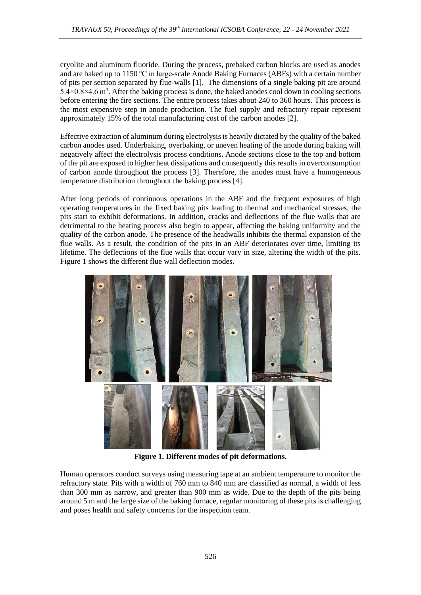cryolite and aluminum fluoride. During the process, prebaked carbon blocks are used as anodes and are baked up to 1150 ºC in large-scale Anode Baking Furnaces (ABFs) with a certain number of pits per section separated by flue-walls [1]. The dimensions of a single baking pit are around  $5.4 \times 0.8 \times 4.6$  m<sup>3</sup>. After the baking process is done, the baked anodes cool down in cooling sections before entering the fire sections. The entire process takes about 240 to 360 hours. This process is the most expensive step in anode production. The fuel supply and refractory repair represent approximately 15% of the total manufacturing cost of the carbon anodes [2].

Effective extraction of aluminum during electrolysis is heavily dictated by the quality of the baked carbon anodes used. Underbaking, overbaking, or uneven heating of the anode during baking will negatively affect the electrolysis process conditions. Anode sections close to the top and bottom of the pit are exposed to higher heat dissipations and consequently this results in overconsumption of carbon anode throughout the process [3]. Therefore, the anodes must have a homogeneous temperature distribution throughout the baking process [4].

After long periods of continuous operations in the ABF and the frequent exposures of high operating temperatures in the fixed baking pits leading to thermal and mechanical stresses, the pits start to exhibit deformations. In addition, cracks and deflections of the flue walls that are detrimental to the heating process also begin to appear, affecting the baking uniformity and the quality of the carbon anode. The presence of the headwalls inhibits the thermal expansion of the flue walls. As a result, the condition of the pits in an ABF deteriorates over time, limiting its lifetime. The deflections of the flue walls that occur vary in size, altering the width of the pits. Figure 1 shows the different flue wall deflection modes.



**Figure 1. Different modes of pit deformations.**

Human operators conduct surveys using measuring tape at an ambient temperature to monitor the refractory state. Pits with a width of 760 mm to 840 mm are classified as normal, a width of less than 300 mm as narrow, and greater than 900 mm as wide. Due to the depth of the pits being around 5 m and the large size of the baking furnace, regular monitoring of these pits is challenging and poses health and safety concerns for the inspection team.